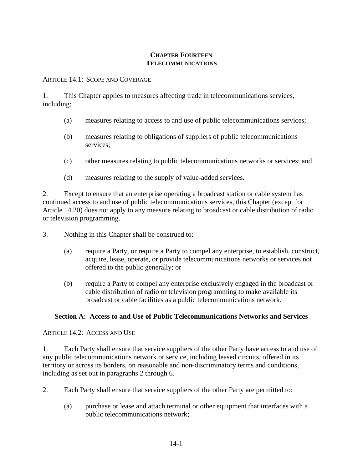## **CHAPTER FOURTEEN TELECOMMUNICATIONS**

#### ARTICLE 14.1: SCOPE AND COVERAGE

1. This Chapter applies to measures affecting trade in telecommunications services, including:

- (a) measures relating to access to and use of public telecommunications services;
- (b) measures relating to obligations of suppliers of public telecommunications services;
- (c) other measures relating to public telecommunications networks or services; and
- (d) measures relating to the supply of value-added services.

2. Except to ensure that an enterprise operating a broadcast station or cable system has continued access to and use of public telecommunications services, this Chapter (except for Article 14.20) does not apply to any measure relating to broadcast or cable distribution of radio or television programming.

- 3. Nothing in this Chapter shall be construed to:
	- (a) require a Party, or require a Party to compel any enterprise, to establish, construct, acquire, lease, operate, or provide telecommunications networks or services not offered to the public generally; or
	- (b) require a Party to compel any enterprise exclusively engaged in the broadcast or cable distribution of radio or television programming to make available its broadcast or cable facilities as a public telecommunications network.

## **Section A: Access to and Use of Public Telecommunications Networks and Services**

ARTICLE 14.2: ACCESS AND USE

1. Each Party shall ensure that service suppliers of the other Party have access to and use of any public telecommunications network or service, including leased circuits, offered in its territory or across its borders, on reasonable and non-discriminatory terms and conditions, including as set out in paragraphs 2 through 6.

- 2. Each Party shall ensure that service suppliers of the other Party are permitted to:
	- (a) purchase or lease and attach terminal or other equipment that interfaces with a public telecommunications network;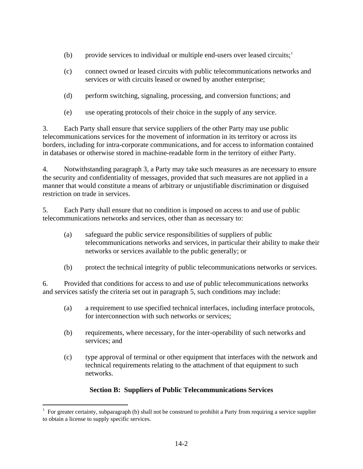- (b) provide services to individual or multiple end-users over leased circuits;<sup>[1](#page-1-0)</sup>
- (c) connect owned or leased circuits with public telecommunications networks and services or with circuits leased or owned by another enterprise;
- (d) perform switching, signaling, processing, and conversion functions; and
- (e) use operating protocols of their choice in the supply of any service.

3. Each Party shall ensure that service suppliers of the other Party may use public telecommunications services for the movement of information in its territory or across its borders, including for intra-corporate communications, and for access to information contained in databases or otherwise stored in machine-readable form in the territory of either Party.

4. Notwithstanding paragraph 3, a Party may take such measures as are necessary to ensure the security and confidentiality of messages, provided that such measures are not applied in a manner that would constitute a means of arbitrary or unjustifiable discrimination or disguised restriction on trade in services.

5. Each Party shall ensure that no condition is imposed on access to and use of public telecommunications networks and services, other than as necessary to:

- (a) safeguard the public service responsibilities of suppliers of public telecommunications networks and services, in particular their ability to make their networks or services available to the public generally; or
- (b) protect the technical integrity of public telecommunications networks or services.

6. Provided that conditions for access to and use of public telecommunications networks and services satisfy the criteria set out in paragraph 5, such conditions may include:

- (a) a requirement to use specified technical interfaces, including interface protocols, for interconnection with such networks or services;
- (b) requirements, where necessary, for the inter-operability of such networks and services; and
- (c) type approval of terminal or other equipment that interfaces with the network and technical requirements relating to the attachment of that equipment to such networks.

# **Section B: Suppliers of Public Telecommunications Services**

<span id="page-1-0"></span> $1$  For greater certainty, subparagraph (b) shall not be construed to prohibit a Party from requiring a service supplier to obtain a license to supply specific services.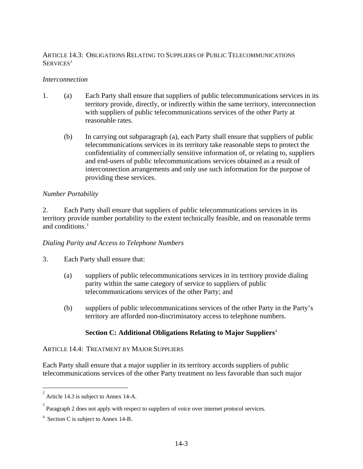#### ARTICLE 14.3: OBLIGATIONS RELATING TO SUPPLIERS OF PUBLIC TELECOMMUNICATIONS SERVICES<sup>[2](#page-2-0)</sup>

#### *Interconnection*

- 1. (a) Each Party shall ensure that suppliers of public telecommunications services in its territory provide, directly, or indirectly within the same territory, interconnection with suppliers of public telecommunications services of the other Party at reasonable rates.
	- (b) In carrying out subparagraph (a), each Party shall ensure that suppliers of public telecommunications services in its territory take reasonable steps to protect the confidentiality of commercially sensitive information of, or relating to, suppliers and end-users of public telecommunications services obtained as a result of interconnection arrangements and only use such information for the purpose of providing these services.

## *Number Portability*

2. Each Party shall ensure that suppliers of public telecommunications services in its territory provide number portability to the extent technically feasible, and on reasonable terms and conditions.[3](#page-2-1)

## *Dialing Parity and Access to Telephone Numbers*

- 3. Each Party shall ensure that:
	- (a) suppliers of public telecommunications services in its territory provide dialing parity within the same category of service to suppliers of public telecommunications services of the other Party; and
	- (b) suppliers of public telecommunications services of the other Party in the Party's territory are afforded non-discriminatory access to telephone numbers.

# **Section C: Additional Obligations Relating to Major Suppliers**[4](#page-2-2)

## ARTICLE 14.4: TREATMENT BY MAJOR SUPPLIERS

Each Party shall ensure that a major supplier in its territory accords suppliers of public telecommunications services of the other Party treatment no less favorable than such major

<span id="page-2-0"></span><sup>2</sup> Article 14.3 is subject to Annex 14-A.

<span id="page-2-1"></span> $3$  Paragraph 2 does not apply with respect to suppliers of voice over internet protocol services.

<span id="page-2-2"></span><sup>&</sup>lt;sup>4</sup> Section C is subject to Annex 14-B.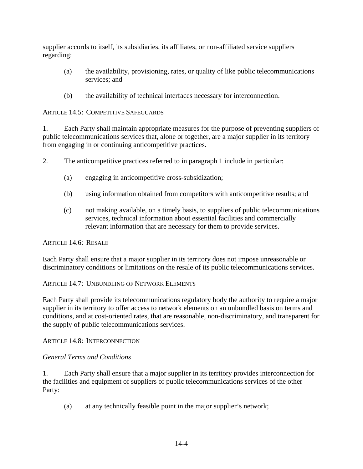supplier accords to itself, its subsidiaries, its affiliates, or non-affiliated service suppliers regarding:

- (a) the availability, provisioning, rates, or quality of like public telecommunications services; and
- (b) the availability of technical interfaces necessary for interconnection.

## ARTICLE 14.5: COMPETITIVE SAFEGUARDS

1. Each Party shall maintain appropriate measures for the purpose of preventing suppliers of public telecommunications services that, alone or together, are a major supplier in its territory from engaging in or continuing anticompetitive practices.

2. The anticompetitive practices referred to in paragraph 1 include in particular:

- (a) engaging in anticompetitive cross-subsidization;
- (b)using information obtained from competitors with anticompetitive results; and
- (c) not making available, on a timely basis, to suppliers of public telecommunications services, technical information about essential facilities and commercially relevant information that are necessary for them to provide services.

## ARTICLE 14.6: RESALE

Each Party shall ensure that a major supplier in its territory does not impose unreasonable or discriminatory conditions or limitations on the resale of its public telecommunications services.

## ARTICLE 14.7: UNBUNDLING OF NETWORK ELEMENTS

Each Party shall provide its telecommunications regulatory body the authority to require a major supplier in its territory to offer access to network elements on an unbundled basis on terms and conditions, and at cost-oriented rates, that are reasonable, non-discriminatory, and transparent for the supply of public telecommunications services.

## ARTICLE 14.8: INTERCONNECTION

# *General Terms and Conditions*

1. Each Party shall ensure that a major supplier in its territory provides interconnection for the facilities and equipment of suppliers of public telecommunications services of the other Party:

(a) at any technically feasible point in the major supplier's network;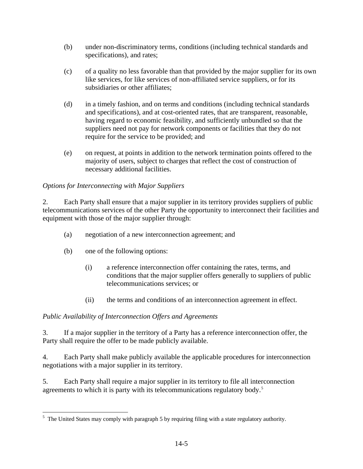- (b) under non-discriminatory terms, conditions (including technical standards and specifications), and rates;
- (c) of a quality no less favorable than that provided by the major supplier for its own like services, for like services of non-affiliated service suppliers, or for its subsidiaries or other affiliates;
- (d) in a timely fashion, and on terms and conditions (including technical standards and specifications), and at cost-oriented rates, that are transparent, reasonable, having regard to economic feasibility, and sufficiently unbundled so that the suppliers need not pay for network components or facilities that they do not require for the service to be provided; and
- (e) on request, at points in addition to the network termination points offered to the majority of users, subject to charges that reflect the cost of construction of necessary additional facilities.

## *Options for Interconnecting with Major Suppliers*

2. Each Party shall ensure that a major supplier in its territory provides suppliers of public telecommunications services of the other Party the opportunity to interconnect their facilities and equipment with those of the major supplier through:

- (a) negotiation of a new interconnection agreement; and
- (b) one of the following options:
	- (i) a reference interconnection offer containing the rates, terms, and conditions that the major supplier offers generally to suppliers of public telecommunications services; or
	- (ii) the terms and conditions of an interconnection agreement in effect.

## *Public Availability of Interconnection Offers and Agreements*

3. If a major supplier in the territory of a Party has a reference interconnection offer, the Party shall require the offer to be made publicly available.

4. Each Party shall make publicly available the applicable procedures for interconnection negotiations with a major supplier in its territory.

5. Each Party shall require a major supplier in its territory to file all interconnection agreements to which it is party with its telecommunications regulatory body.<sup>[5](#page-4-0)</sup>

<span id="page-4-0"></span> $\overline{a}$ <sup>5</sup> The United States may comply with paragraph 5 by requiring filing with a state regulatory authority.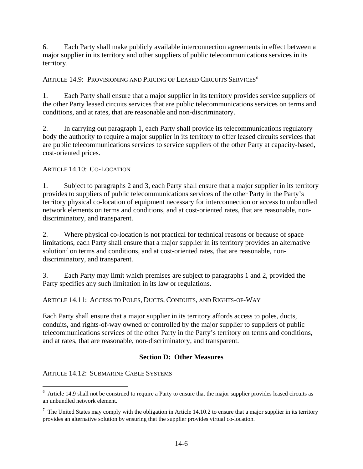6. Each Party shall make publicly available interconnection agreements in effect between a major supplier in its territory and other suppliers of public telecommunications services in its territory.

ARTICLE 14.9: PROVISIONING AND PRICING OF LEASED CIRCUITS SERVICES<sup>[6](#page-5-0)</sup>

1. Each Party shall ensure that a major supplier in its territory provides service suppliers of the other Party leased circuits services that are public telecommunications services on terms and conditions, and at rates, that are reasonable and non-discriminatory.

2. In carrying out paragraph 1, each Party shall provide its telecommunications regulatory body the authority to require a major supplier in its territory to offer leased circuits services that are public telecommunications services to service suppliers of the other Party at capacity-based, cost-oriented prices.

#### ARTICLE 14.10: CO-LOCATION

1. Subject to paragraphs 2 and 3, each Party shall ensure that a major supplier in its territory provides to suppliers of public telecommunications services of the other Party in the Party's territory physical co-location of equipment necessary for interconnection or access to unbundled network elements on terms and conditions, and at cost-oriented rates, that are reasonable, nondiscriminatory, and transparent.

2. Where physical co-location is not practical for technical reasons or because of space limitations, each Party shall ensure that a major supplier in its territory provides an alternative solution<sup>[7](#page-5-1)</sup> on terms and conditions, and at cost-oriented rates, that are reasonable, nondiscriminatory, and transparent.

3. Each Party may limit which premises are subject to paragraphs 1 and 2, provided the Party specifies any such limitation in its law or regulations.

ARTICLE 14.11: ACCESS TO POLES, DUCTS, CONDUITS, AND RIGHTS-OF-WAY

Each Party shall ensure that a major supplier in its territory affords access to poles, ducts, conduits, and rights-of-way owned or controlled by the major supplier to suppliers of public telecommunications services of the other Party in the Party's territory on terms and conditions, and at rates, that are reasonable, non-discriminatory, and transparent.

## **Section D: Other Measures**

ARTICLE 14.12: SUBMARINE CABLE SYSTEMS

<span id="page-5-0"></span> $6$  Article 14.9 shall not be construed to require a Party to ensure that the major supplier provides leased circuits as an unbundled network element.

<span id="page-5-1"></span> $<sup>7</sup>$  The United States may comply with the obligation in Article 14.10.2 to ensure that a major supplier in its territory</sup> provides an alternative solution by ensuring that the supplier provides virtual co-location.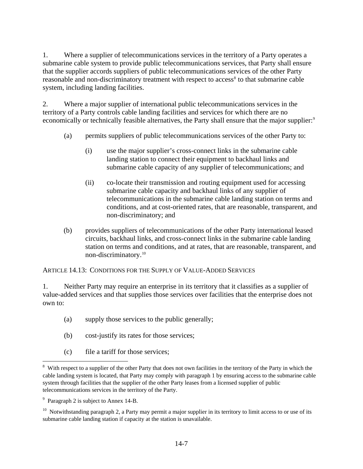1. Where a supplier of telecommunications services in the territory of a Party operates a submarine cable system to provide public telecommunications services, that Party shall ensure that the supplier accords suppliers of public telecommunications services of the other Party reasonable and non-discriminatory treatment with respect to access<sup>[8](#page-6-0)</sup> to that submarine cable system, including landing facilities.

2. Where a major supplier of international public telecommunications services in the territory of a Party controls cable landing facilities and services for which there are no economically or technically feasible alternatives, the Party shall ensure that the major supplier:<sup>[9](#page-6-1)</sup>

- (a) permits suppliers of public telecommunications services of the other Party to:
	- (i) use the major supplier's cross-connect links in the submarine cable landing station to connect their equipment to backhaul links and submarine cable capacity of any supplier of telecommunications; and
	- (ii) co-locate their transmission and routing equipment used for accessing submarine cable capacity and backhaul links of any supplier of telecommunications in the submarine cable landing station on terms and conditions, and at cost-oriented rates, that are reasonable, transparent, and non-discriminatory; and
- (b) provides suppliers of telecommunications of the other Party international leased circuits, backhaul links, and cross-connect links in the submarine cable landing station on terms and conditions, and at rates, that are reasonable, transparent, and non-discriminatory[.10](#page-6-2)

ARTICLE 14.13: CONDITIONS FOR THE SUPPLY OF VALUE-ADDED SERVICES

1. Neither Party may require an enterprise in its territory that it classifies as a supplier of value-added services and that supplies those services over facilities that the enterprise does not own to:

- (a) supply those services to the public generally;
- (b) cost-justify its rates for those services;
- (c) file a tariff for those services;

<span id="page-6-0"></span> $8\text{ With respect to a supplier of the other Party that does not own facilities in the territory of the Party in which the$ cable landing system is located, that Party may comply with paragraph 1 by ensuring access to the submarine cable system through facilities that the supplier of the other Party leases from a licensed supplier of public telecommunications services in the territory of the Party.

<span id="page-6-1"></span><sup>&</sup>lt;sup>9</sup> Paragraph 2 is subject to Annex 14-B.

<span id="page-6-2"></span><sup>&</sup>lt;sup>10</sup> Notwithstanding paragraph 2, a Party may permit a major supplier in its territory to limit access to or use of its submarine cable landing station if capacity at the station is unavailable.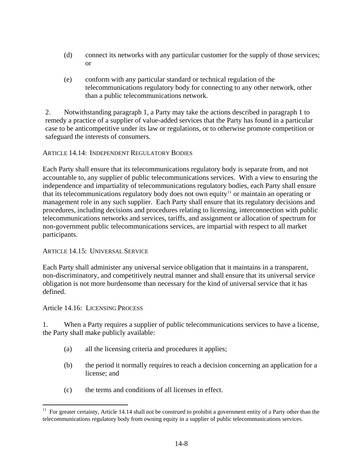- (d) connect its networks with any particular customer for the supply of those services; or
- (e) conform with any particular standard or technical regulation of the telecommunications regulatory body for connecting to any other network, other than a public telecommunications network.

2. Notwithstanding paragraph 1, a Party may take the actions described in paragraph 1 to remedy a practice of a supplier of value-added services that the Party has found in a particular case to be anticompetitive under its law or regulations, or to otherwise promote competition or safeguard the interests of consumers.

ARTICLE 14.14: INDEPENDENT REGULATORY BODIES

Each Party shall ensure that its telecommunications regulatory body is separate from, and not accountable to, any supplier of public telecommunications services. With a view to ensuring the independence and impartiality of telecommunications regulatory bodies, each Party shall ensure that its telecommunications regulatory body does not own equity<sup>[11](#page-7-0)</sup> or maintain an operating or management role in any such supplier. Each Party shall ensure that its regulatory decisions and procedures, including decisions and procedures relating to licensing, interconnection with public telecommunications networks and services, tariffs, and assignment or allocation of spectrum for non-government public telecommunications services, are impartial with respect to all market participants.

ARTICLE 14.15: UNIVERSAL SERVICE

Each Party shall administer any universal service obligation that it maintains in a transparent, non-discriminatory, and competitively neutral manner and shall ensure that its universal service obligation is not more burdensome than necessary for the kind of universal service that it has defined.

Article 14.16: LICENSING PROCESS

 $\overline{a}$ 

1. When a Party requires a supplier of public telecommunications services to have a license, the Party shall make publicly available:

- (a) all the licensing criteria and procedures it applies;
- (b) the period it normally requires to reach a decision concerning an application for a license; and
- (c) the terms and conditions of all licenses in effect.

<span id="page-7-0"></span> $11$  For greater certainty, Article 14.14 shall not be construed to prohibit a government entity of a Party other than the telecommunications regulatory body from owning equity in a supplier of public telecommunications services.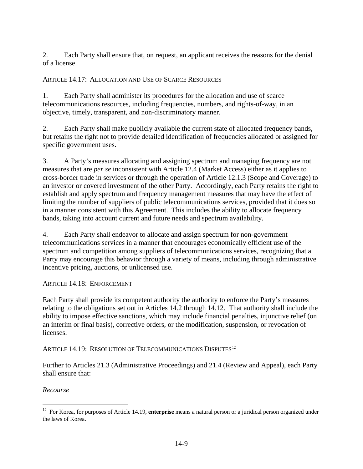2. Each Party shall ensure that, on request, an applicant receives the reasons for the denial of a license.

## ARTICLE 14.17: ALLOCATION AND USE OF SCARCE RESOURCES

1. Each Party shall administer its procedures for the allocation and use of scarce telecommunications resources, including frequencies, numbers, and rights-of-way, in an objective, timely, transparent, and non-discriminatory manner.

2. Each Party shall make publicly available the current state of allocated frequency bands, but retains the right not to provide detailed identification of frequencies allocated or assigned for specific government uses.

3. A Party's measures allocating and assigning spectrum and managing frequency are not measures that are *per se* inconsistent with Article 12.4 (Market Access) either as it applies to cross-border trade in services or through the operation of Article 12.1.3 (Scope and Coverage) to an investor or covered investment of the other Party. Accordingly, each Party retains the right to establish and apply spectrum and frequency management measures that may have the effect of limiting the number of suppliers of public telecommunications services, provided that it does so in a manner consistent with this Agreement. This includes the ability to allocate frequency bands, taking into account current and future needs and spectrum availability.

4. Each Party shall endeavor to allocate and assign spectrum for non-government telecommunications services in a manner that encourages economically efficient use of the spectrum and competition among suppliers of telecommunications services, recognizing that a Party may encourage this behavior through a variety of means, including through administrative incentive pricing, auctions, or unlicensed use.

## ARTICLE 14.18: ENFORCEMENT

Each Party shall provide its competent authority the authority to enforce the Party's measures relating to the obligations set out in Articles 14.2 through 14.12. That authority shall include the ability to impose effective sanctions, which may include financial penalties, injunctive relief (on an interim or final basis), corrective orders, or the modification, suspension, or revocation of licenses.

ARTICLE 14.19: RESOLUTION OF TELECOMMUNICATIONS DISPUTES<sup>[12](#page-8-0)</sup>

Further to Articles 21.3 (Administrative Proceedings) and 21.4 (Review and Appeal), each Party shall ensure that:

## *Recourse*

<span id="page-8-0"></span><sup>&</sup>lt;sup>12</sup> For Korea, for purposes of Article 14.19, **enterprise** means a natural person or a juridical person organized under the laws of Korea.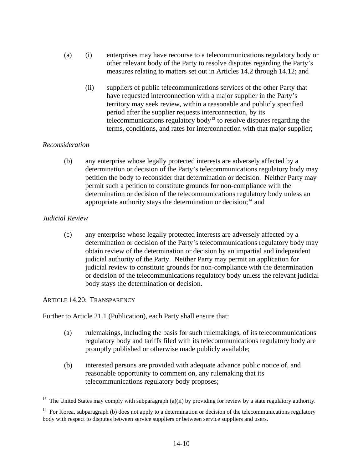- (a) (i) enterprises may have recourse to a telecommunications regulatory body or other relevant body of the Party to resolve disputes regarding the Party's measures relating to matters set out in Articles 14.2 through 14.12; and
	- (ii) suppliers of public telecommunications services of the other Party that have requested interconnection with a major supplier in the Party's territory may seek review, within a reasonable and publicly specified period after the supplier requests interconnection, by its telecommunications regulatory body<sup>[13](#page-9-0)</sup> to resolve disputes regarding the terms, conditions, and rates for interconnection with that major supplier;

## *Reconsideration*

(b) any enterprise whose legally protected interests are adversely affected by a determination or decision of the Party's telecommunications regulatory body may petition the body to reconsider that determination or decision. Neither Party may permit such a petition to constitute grounds for non-compliance with the determination or decision of the telecommunications regulatory body unless an appropriate authority stays the determination or decision; $<sup>14</sup>$  $<sup>14</sup>$  $<sup>14</sup>$  and</sup>

## *Judicial Review*

(c) any enterprise whose legally protected interests are adversely affected by a determination or decision of the Party's telecommunications regulatory body may obtain review of the determination or decision by an impartial and independent judicial authority of the Party. Neither Party may permit an application for judicial review to constitute grounds for non-compliance with the determination or decision of the telecommunications regulatory body unless the relevant judicial body stays the determination or decision.

## ARTICLE 14.20: TRANSPARENCY

Further to Article 21.1 (Publication), each Party shall ensure that:

- (a) rulemakings, including the basis for such rulemakings, of its telecommunications regulatory body and tariffs filed with its telecommunications regulatory body are promptly published or otherwise made publicly available;
- (b) interested persons are provided with adequate advance public notice of, and reasonable opportunity to comment on, any rulemaking that its telecommunications regulatory body proposes;

<span id="page-9-0"></span> $\overline{a}$ <sup>13</sup> The United States may comply with subparagraph (a)(ii) by providing for review by a state regulatory authority.

<span id="page-9-1"></span> $14$  For Korea, subparagraph (b) does not apply to a determination or decision of the telecommunications regulatory body with respect to disputes between service suppliers or between service suppliers and users.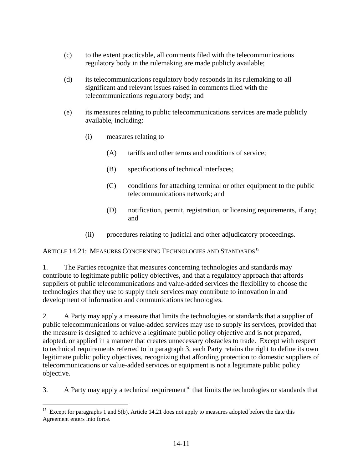- (c) to the extent practicable, all comments filed with the telecommunications regulatory body in the rulemaking are made publicly available;
- (d) its telecommunications regulatory body responds in its rulemaking to all significant and relevant issues raised in comments filed with the telecommunications regulatory body; and
- (e) its measures relating to public telecommunications services are made publicly available, including:
	- (i) measures relating to
		- (A) tariffs and other terms and conditions of service;
		- (B) specifications of technical interfaces;
		- (C) conditions for attaching terminal or other equipment to the public telecommunications network; and
		- (D) notification, permit, registration, or licensing requirements, if any; and
	- (ii) procedures relating to judicial and other adjudicatory proceedings.

ARTICLE 14.21: MEASURES CONCERNING TECHNOLOGIES AND STANDARDS<sup>[15](#page-10-0)</sup>

1. The Parties recognize that measures concerning technologies and standards may contribute to legitimate public policy objectives, and that a regulatory approach that affords suppliers of public telecommunications and value-added services the flexibility to choose the technologies that they use to supply their services may contribute to innovation in and development of information and communications technologies.

2. A Party may apply a measure that limits the technologies or standards that a supplier of public telecommunications or value-added services may use to supply its services, provided that the measure is designed to achieve a legitimate public policy objective and is not prepared, adopted, or applied in a manner that creates unnecessary obstacles to trade. Except with respect to technical requirements referred to in paragraph 3, each Party retains the right to define its own legitimate public policy objectives, recognizing that affording protection to domestic suppliers of telecommunications or value-added services or equipment is not a legitimate public policy objective.

<span id="page-10-1"></span>3. A Party may apply a technical requirement<sup>[16](#page-10-1)</sup> that limits the technologies or standards that

<span id="page-10-0"></span><sup>&</sup>lt;sup>15</sup> Except for paragraphs 1 and 5(b), Article 14.21 does not apply to measures adopted before the date this Agreement enters into force.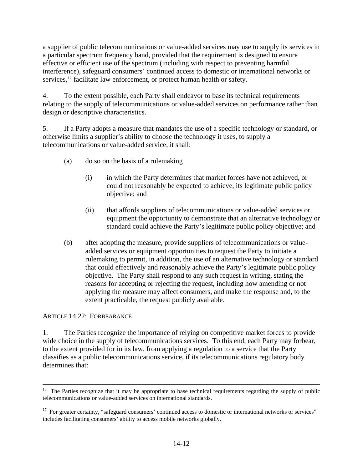a supplier of public telecommunications or value-added services may use to supply its services in a particular spectrum frequency band, provided that the requirement is designed to ensure effective or efficient use of the spectrum (including with respect to preventing harmful interference), safeguard consumers' continued access to domestic or international networks or services,<sup>[17](#page-11-0)</sup> facilitate law enforcement, or protect human health or safety.

4. To the extent possible, each Party shall endeavor to base its technical requirements relating to the supply of telecommunications or value-added services on performance rather than design or descriptive characteristics.

5. If a Party adopts a measure that mandates the use of a specific technology or standard, or otherwise limits a supplier's ability to choose the technology it uses, to supply a telecommunications or value-added service, it shall:

- (a) do so on the basis of a rulemaking
	- (i) in which the Party determines that market forces have not achieved, or could not reasonably be expected to achieve, its legitimate public policy objective; and
	- (ii) that affords suppliers of telecommunications or value-added services or equipment the opportunity to demonstrate that an alternative technology or standard could achieve the Party's legitimate public policy objective; and
- (b) after adopting the measure, provide suppliers of telecommunications or valueadded services or equipment opportunities to request the Party to initiate a rulemaking to permit, in addition, the use of an alternative technology or standard that could effectively and reasonably achieve the Party's legitimate public policy objective. The Party shall respond to any such request in writing, stating the reasons for accepting or rejecting the request, including how amending or not applying the measure may affect consumers, and make the response and, to the extent practicable, the request publicly available.

ARTICLE 14.22: FORBEARANCE

1. The Parties recognize the importance of relying on competitive market forces to provide wide choice in the supply of telecommunications services. To this end, each Party may forbear, to the extent provided for in its law, from applying a regulation to a service that the Party classifies as a public telecommunications service, if its telecommunications regulatory body determines that:

<sup>&</sup>lt;sup>16</sup> The Parties recognize that it may be appropriate to base technical requirements regarding the supply of public telecommunications or value-added services on international standards.

<span id="page-11-0"></span><sup>&</sup>lt;sup>17</sup> For greater certainty, "safeguard consumers' continued access to domestic or international networks or services" includes facilitating consumers' ability to access mobile networks globally.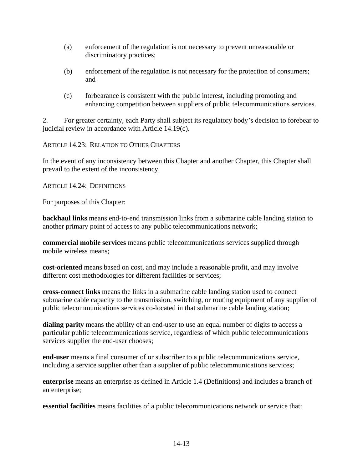- (a) enforcement of the regulation is not necessary to prevent unreasonable or discriminatory practices;
- (b) enforcement of the regulation is not necessary for the protection of consumers; and
- (c) forbearance is consistent with the public interest, including promoting and enhancing competition between suppliers of public telecommunications services.

2. For greater certainty, each Party shall subject its regulatory body's decision to forebear to judicial review in accordance with Article 14.19(c).

ARTICLE 14.23: RELATION TO OTHER CHAPTERS

In the event of any inconsistency between this Chapter and another Chapter, this Chapter shall prevail to the extent of the inconsistency.

ARTICLE 14.24: DEFINITIONS

For purposes of this Chapter:

**backhaul links** means end-to-end transmission links from a submarine cable landing station to another primary point of access to any public telecommunications network;

**commercial mobile services** means public telecommunications services supplied through mobile wireless means;

**cost-oriented** means based on cost, and may include a reasonable profit, and may involve different cost methodologies for different facilities or services;

**cross-connect links** means the links in a submarine cable landing station used to connect submarine cable capacity to the transmission, switching, or routing equipment of any supplier of public telecommunications services co-located in that submarine cable landing station;

**dialing parity** means the ability of an end-user to use an equal number of digits to access a particular public telecommunications service, regardless of which public telecommunications services supplier the end-user chooses;

**end-user** means a final consumer of or subscriber to a public telecommunications service, including a service supplier other than a supplier of public telecommunications services;

**enterprise** means an enterprise as defined in Article 1.4 (Definitions) and includes a branch of an enterprise;

**essential facilities** means facilities of a public telecommunications network or service that: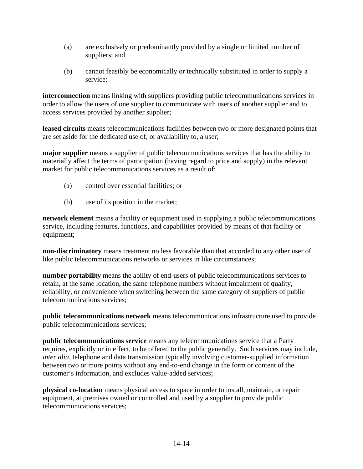- (a) are exclusively or predominantly provided by a single or limited number of suppliers; and
- (b) cannot feasibly be economically or technically substituted in order to supply a service;

**interconnection** means linking with suppliers providing public telecommunications services in order to allow the users of one supplier to communicate with users of another supplier and to access services provided by another supplier;

**leased circuits** means telecommunications facilities between two or more designated points that are set aside for the dedicated use of, or availability to, a user;

**major supplier** means a supplier of public telecommunications services that has the ability to materially affect the terms of participation (having regard to price and supply) in the relevant market for public telecommunications services as a result of:

- (a) control over essential facilities; or
- (b) use of its position in the market;

**network element** means a facility or equipment used in supplying a public telecommunications service, including features, functions, and capabilities provided by means of that facility or equipment;

**non-discriminatory** means treatment no less favorable than that accorded to any other user of like public telecommunications networks or services in like circumstances;

**number portability** means the ability of end-users of public telecommunications services to retain, at the same location, the same telephone numbers without impairment of quality, reliability, or convenience when switching between the same category of suppliers of public telecommunications services;

**public telecommunications network** means telecommunications infrastructure used to provide public telecommunications services;

**public telecommunications service** means any telecommunications service that a Party requires, explicitly or in effect, to be offered to the public generally. Such services may include, *inter alia*, telephone and data transmission typically involving customer-supplied information between two or more points without any end-to-end change in the form or content of the customer's information, and excludes value-added services;

**physical co-location** means physical access to space in order to install, maintain, or repair equipment, at premises owned or controlled and used by a supplier to provide public telecommunications services;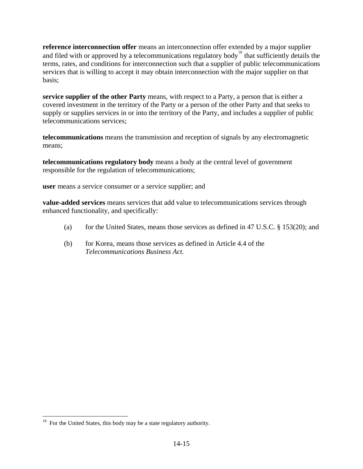**reference interconnection offer** means an interconnection offer extended by a major supplier and filed with or approved by a telecommunications regulatory body<sup>[18](#page-14-0)</sup> that sufficiently details the terms, rates, and conditions for interconnection such that a supplier of public telecommunications services that is willing to accept it may obtain interconnection with the major supplier on that basis;

**service supplier of the other Party** means, with respect to a Party, a person that is either a covered investment in the territory of the Party or a person of the other Party and that seeks to supply or supplies services in or into the territory of the Party, and includes a supplier of public telecommunications services;

**telecommunications** means the transmission and reception of signals by any electromagnetic means;

**telecommunications regulatory body** means a body at the central level of government responsible for the regulation of telecommunications;

**user** means a service consumer or a service supplier; and

**value-added services** means services that add value to telecommunications services through enhanced functionality, and specifically:

- (a) for the United States, means those services as defined in 47 U.S.C. § 153(20); and
- (b) for Korea, means those services as defined in Article 4.4 of the *Telecommunications Business Act*.

<span id="page-14-0"></span><sup>&</sup>lt;sup>18</sup> For the United States, this body may be a state regulatory authority.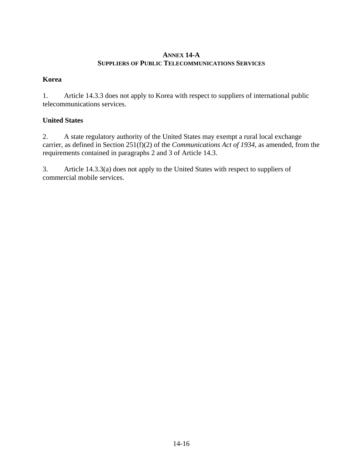#### **ANNEX 14-A SUPPLIERS OF PUBLIC TELECOMMUNICATIONS SERVICES**

## **Korea**

1. Article 14.3.3 does not apply to Korea with respect to suppliers of international public telecommunications services.

# **United States**

2. A state regulatory authority of the United States may exempt a rural local exchange carrier, as defined in Section 251(f)(2) of the *Communications Act of 1934*, as amended, from the requirements contained in paragraphs 2 and 3 of Article 14.3.

3. Article 14.3.3(a) does not apply to the United States with respect to suppliers of commercial mobile services.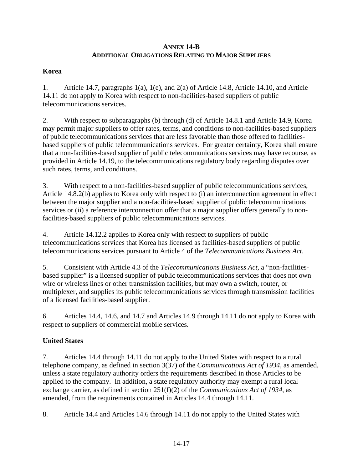#### **ANNEX 14-B ADDITIONAL OBLIGATIONS RELATING TO MAJOR SUPPLIERS**

## **Korea**

1. Article 14.7, paragraphs 1(a), 1(e), and 2(a) of Article 14.8, Article 14.10, and Article 14.11 do not apply to Korea with respect to non-facilities-based suppliers of public telecommunications services.

2. With respect to subparagraphs (b) through (d) of Article 14.8.1 and Article 14.9, Korea may permit major suppliers to offer rates, terms, and conditions to non-facilities-based suppliers of public telecommunications services that are less favorable than those offered to facilitiesbased suppliers of public telecommunications services. For greater certainty, Korea shall ensure that a non-facilities-based supplier of public telecommunications services may have recourse, as provided in Article 14.19, to the telecommunications regulatory body regarding disputes over such rates, terms, and conditions.

3. With respect to a non-facilities-based supplier of public telecommunications services, Article 14.8.2(b) applies to Korea only with respect to (i) an interconnection agreement in effect between the major supplier and a non-facilities-based supplier of public telecommunications services or (ii) a reference interconnection offer that a major supplier offers generally to nonfacilities-based suppliers of public telecommunications services.

4. Article 14.12.2 applies to Korea only with respect to suppliers of public telecommunications services that Korea has licensed as facilities-based suppliers of public telecommunications services pursuant to Article 4 of the *Telecommunications Business Act*.

5. Consistent with Article 4.3 of the *Telecommunications Business Act*, a "non-facilitiesbased supplier" is a licensed supplier of public telecommunications services that does not own wire or wireless lines or other transmission facilities, but may own a switch, router, or multiplexer, and supplies its public telecommunications services through transmission facilities of a licensed facilities-based supplier.

6. Articles 14.4, 14.6, and 14.7 and Articles 14.9 through 14.11 do not apply to Korea with respect to suppliers of commercial mobile services.

# **United States**

7. Articles 14.4 through 14.11 do not apply to the United States with respect to a rural telephone company, as defined in section 3(37) of the *Communications Act of 1934*, as amended, unless a state regulatory authority orders the requirements described in those Articles to be applied to the company. In addition, a state regulatory authority may exempt a rural local exchange carrier, as defined in section 251(f)(2) of the *Communications Act of 1934*, as amended, from the requirements contained in Articles 14.4 through 14.11.

8. Article 14.4 and Articles 14.6 through 14.11 do not apply to the United States with